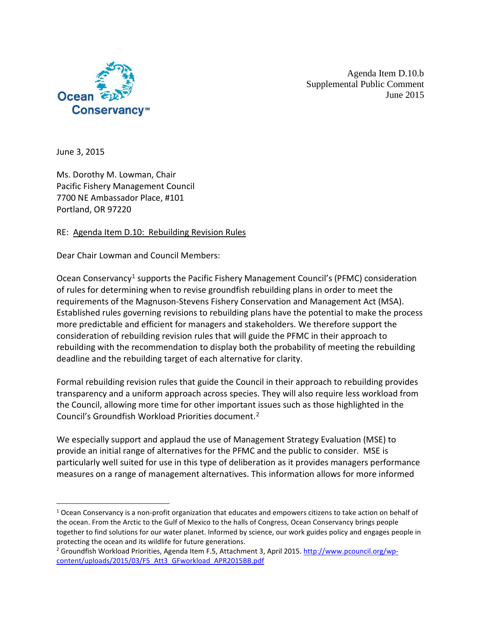

Agenda Item D.10.b Supplemental Public Comment June 2015

June 3, 2015

Ms. Dorothy M. Lowman, Chair Pacific Fishery Management Council 7700 NE Ambassador Place, #101 Portland, OR 97220

## RE: Agenda Item D.10: Rebuilding Revision Rules

Dear Chair Lowman and Council Members:

Ocean Conservancy<sup>[1](#page-0-0)</sup> supports the Pacific Fishery Management Council's (PFMC) consideration of rules for determining when to revise groundfish rebuilding plans in order to meet the requirements of the Magnuson-Stevens Fishery Conservation and Management Act (MSA). Established rules governing revisions to rebuilding plans have the potential to make the process more predictable and efficient for managers and stakeholders. We therefore support the consideration of rebuilding revision rules that will guide the PFMC in their approach to rebuilding with the recommendation to display both the probability of meeting the rebuilding deadline and the rebuilding target of each alternative for clarity.

Formal rebuilding revision rules that guide the Council in their approach to rebuilding provides transparency and a uniform approach across species. They will also require less workload from the Council, allowing more time for other important issues such as those highlighted in the Council's Groundfish Workload Priorities document.[2](#page-0-1)

We especially support and applaud the use of Management Strategy Evaluation (MSE) to provide an initial range of alternatives for the PFMC and the public to consider. MSE is particularly well suited for use in this type of deliberation as it provides managers performance measures on a range of management alternatives. This information allows for more informed

<span id="page-0-0"></span><sup>&</sup>lt;sup>1</sup> Ocean Conservancy is a non-profit organization that educates and empowers citizens to take action on behalf of the ocean. From the Arctic to the Gulf of Mexico to the halls of Congress, Ocean Conservancy brings people together to find solutions for our water planet. Informed by science, our work guides policy and engages people in protecting the ocean and its wildlife for future generations.<br><sup>2</sup> Groundfish Workload Priorities, Agenda Item F.5, Attachment 3, April 2015[. http://www.pcouncil.org/wp-](http://www.pcouncil.org/wp-content/uploads/2015/03/F5_Att3_GFworkload_APR2015BB.pdf)

<span id="page-0-1"></span>[content/uploads/2015/03/F5\\_Att3\\_GFworkload\\_APR2015BB.pdf](http://www.pcouncil.org/wp-content/uploads/2015/03/F5_Att3_GFworkload_APR2015BB.pdf)